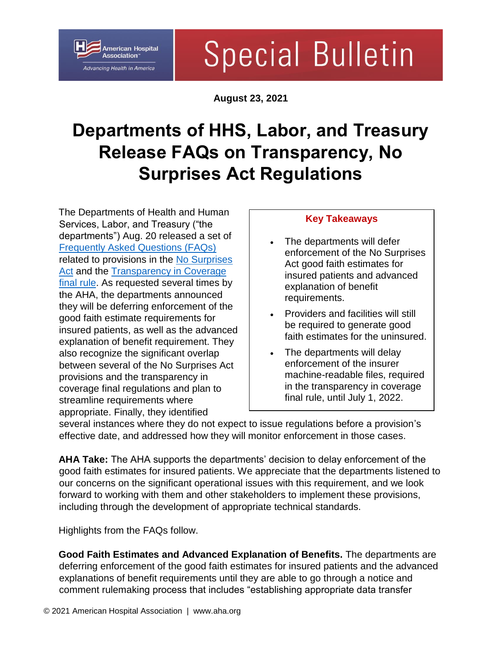### American Hospital Association<sup>®</sup> *Advancing Health in America*

# **Special Bulletin**

**August 23, 2021**

## **Departments of HHS, Labor, and Treasury Release FAQs on Transparency, No Surprises Act Regulations**

The Departments of Health and Human Services, Labor, and Treasury ("the departments") Aug. 20 released a set of [Frequently Asked Questions \(FAQs\)](https://www.hhs.gov/guidance/document/faqs-about-affordable-care-act-and-consolidated-appropriations-act-2021-implementation) related to provisions in the No Surprises [Act](https://www.aha.org/advisory/2021-01-14-detailed-summary-no-surprises-act) and the [Transparency in Coverage](https://www.aha.org/special-bulletin/2020-10-29-administration-finalizes-rule-requiring-health-plans-disclose)  [final rule.](https://www.aha.org/special-bulletin/2020-10-29-administration-finalizes-rule-requiring-health-plans-disclose) As requested several times by the AHA, the departments announced they will be deferring enforcement of the good faith estimate requirements for insured patients, as well as the advanced explanation of benefit requirement. They also recognize the significant overlap between several of the No Surprises Act provisions and the transparency in coverage final regulations and plan to streamline requirements where appropriate. Finally, they identified

### **Key Takeaways**

- The departments will defer enforcement of the No Surprises Act good faith estimates for insured patients and advanced explanation of benefit requirements.
- Providers and facilities will still be required to generate good faith estimates for the uninsured.
- The departments will delay enforcement of the insurer machine-readable files, required in the transparency in coverage final rule, until July 1, 2022.

several instances where they do not expect to issue regulations before a provision's effective date, and addressed how they will monitor enforcement in those cases.

**AHA Take:** The AHA supports the departments' decision to delay enforcement of the good faith estimates for insured patients. We appreciate that the departments listened to our concerns on the significant operational issues with this requirement, and we look forward to working with them and other stakeholders to implement these provisions, including through the development of appropriate technical standards.

Highlights from the FAQs follow.

**Good Faith Estimates and Advanced Explanation of Benefits.** The departments are deferring enforcement of the good faith estimates for insured patients and the advanced explanations of benefit requirements until they are able to go through a notice and comment rulemaking process that includes "establishing appropriate data transfer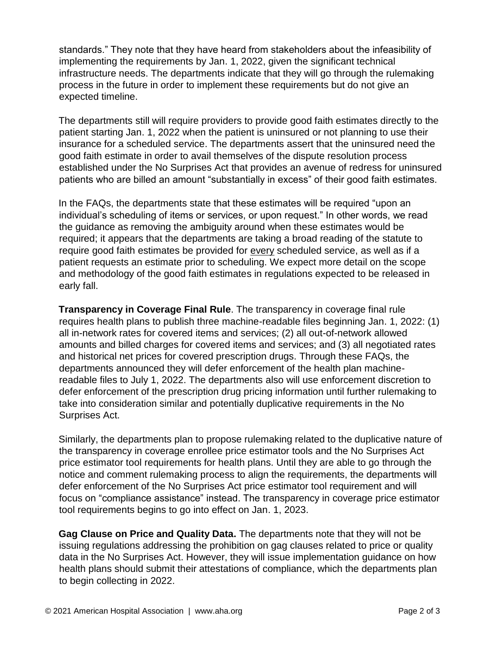standards." They note that they have heard from stakeholders about the infeasibility of implementing the requirements by Jan. 1, 2022, given the significant technical infrastructure needs. The departments indicate that they will go through the rulemaking process in the future in order to implement these requirements but do not give an expected timeline.

The departments still will require providers to provide good faith estimates directly to the patient starting Jan. 1, 2022 when the patient is uninsured or not planning to use their insurance for a scheduled service. The departments assert that the uninsured need the good faith estimate in order to avail themselves of the dispute resolution process established under the No Surprises Act that provides an avenue of redress for uninsured patients who are billed an amount "substantially in excess" of their good faith estimates.

In the FAQs, the departments state that these estimates will be required "upon an individual's scheduling of items or services, or upon request." In other words, we read the guidance as removing the ambiguity around when these estimates would be required; it appears that the departments are taking a broad reading of the statute to require good faith estimates be provided for every scheduled service, as well as if a patient requests an estimate prior to scheduling. We expect more detail on the scope and methodology of the good faith estimates in regulations expected to be released in early fall.

**Transparency in Coverage Final Rule**. The transparency in coverage final rule requires health plans to publish three machine-readable files beginning Jan. 1, 2022: (1) all in-network rates for covered items and services; (2) all out-of-network allowed amounts and billed charges for covered items and services; and (3) all negotiated rates and historical net prices for covered prescription drugs. Through these FAQs, the departments announced they will defer enforcement of the health plan machinereadable files to July 1, 2022. The departments also will use enforcement discretion to defer enforcement of the prescription drug pricing information until further rulemaking to take into consideration similar and potentially duplicative requirements in the No Surprises Act.

Similarly, the departments plan to propose rulemaking related to the duplicative nature of the transparency in coverage enrollee price estimator tools and the No Surprises Act price estimator tool requirements for health plans. Until they are able to go through the notice and comment rulemaking process to align the requirements, the departments will defer enforcement of the No Surprises Act price estimator tool requirement and will focus on "compliance assistance" instead. The transparency in coverage price estimator tool requirements begins to go into effect on Jan. 1, 2023.

**Gag Clause on Price and Quality Data.** The departments note that they will not be issuing regulations addressing the prohibition on gag clauses related to price or quality data in the No Surprises Act. However, they will issue implementation guidance on how health plans should submit their attestations of compliance, which the departments plan to begin collecting in 2022.